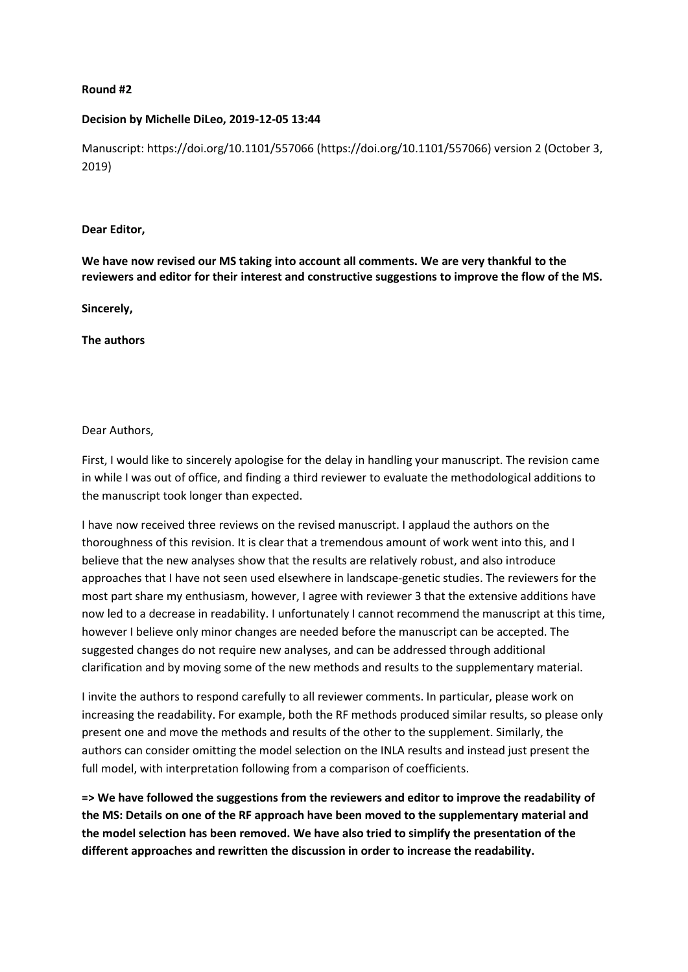# **Round #2**

# **Decision by Michelle DiLeo, 2019-12-05 13:44**

Manuscript: https://doi.org/10.1101/557066 (https://doi.org/10.1101/557066) version 2 (October 3, 2019)

### **Dear Editor,**

**We have now revised our MS taking into account all comments. We are very thankful to the reviewers and editor for their interest and constructive suggestions to improve the flow of the MS.** 

**Sincerely,**

**The authors**

# Dear Authors,

First, I would like to sincerely apologise for the delay in handling your manuscript. The revision came in while I was out of office, and finding a third reviewer to evaluate the methodological additions to the manuscript took longer than expected.

I have now received three reviews on the revised manuscript. I applaud the authors on the thoroughness of this revision. It is clear that a tremendous amount of work went into this, and I believe that the new analyses show that the results are relatively robust, and also introduce approaches that I have not seen used elsewhere in landscape-genetic studies. The reviewers for the most part share my enthusiasm, however, I agree with reviewer 3 that the extensive additions have now led to a decrease in readability. I unfortunately I cannot recommend the manuscript at this time, however I believe only minor changes are needed before the manuscript can be accepted. The suggested changes do not require new analyses, and can be addressed through additional clarification and by moving some of the new methods and results to the supplementary material.

I invite the authors to respond carefully to all reviewer comments. In particular, please work on increasing the readability. For example, both the RF methods produced similar results, so please only present one and move the methods and results of the other to the supplement. Similarly, the authors can consider omitting the model selection on the INLA results and instead just present the full model, with interpretation following from a comparison of coefficients.

**=> We have followed the suggestions from the reviewers and editor to improve the readability of the MS: Details on one of the RF approach have been moved to the supplementary material and the model selection has been removed. We have also tried to simplify the presentation of the different approaches and rewritten the discussion in order to increase the readability.**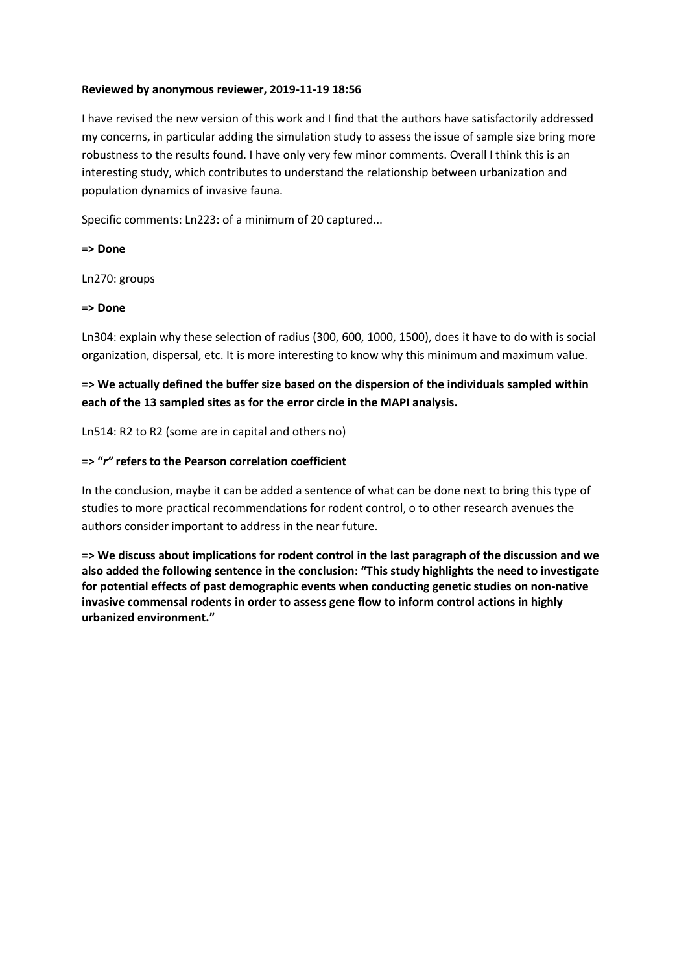# **Reviewed by anonymous reviewer, 2019-11-19 18:56**

I have revised the new version of this work and I find that the authors have satisfactorily addressed my concerns, in particular adding the simulation study to assess the issue of sample size bring more robustness to the results found. I have only very few minor comments. Overall I think this is an interesting study, which contributes to understand the relationship between urbanization and population dynamics of invasive fauna.

Specific comments: Ln223: of a minimum of 20 captured...

**=> Done**

Ln270: groups

# **=> Done**

Ln304: explain why these selection of radius (300, 600, 1000, 1500), does it have to do with is social organization, dispersal, etc. It is more interesting to know why this minimum and maximum value.

# **=> We actually defined the buffer size based on the dispersion of the individuals sampled within each of the 13 sampled sites as for the error circle in the MAPI analysis.**

Ln514: R2 to R2 (some are in capital and others no)

# **=> "***r"* **refers to the Pearson correlation coefficient**

In the conclusion, maybe it can be added a sentence of what can be done next to bring this type of studies to more practical recommendations for rodent control, o to other research avenues the authors consider important to address in the near future.

**=> We discuss about implications for rodent control in the last paragraph of the discussion and we also added the following sentence in the conclusion: "This study highlights the need to investigate for potential effects of past demographic events when conducting genetic studies on non-native invasive commensal rodents in order to assess gene flow to inform control actions in highly urbanized environment."**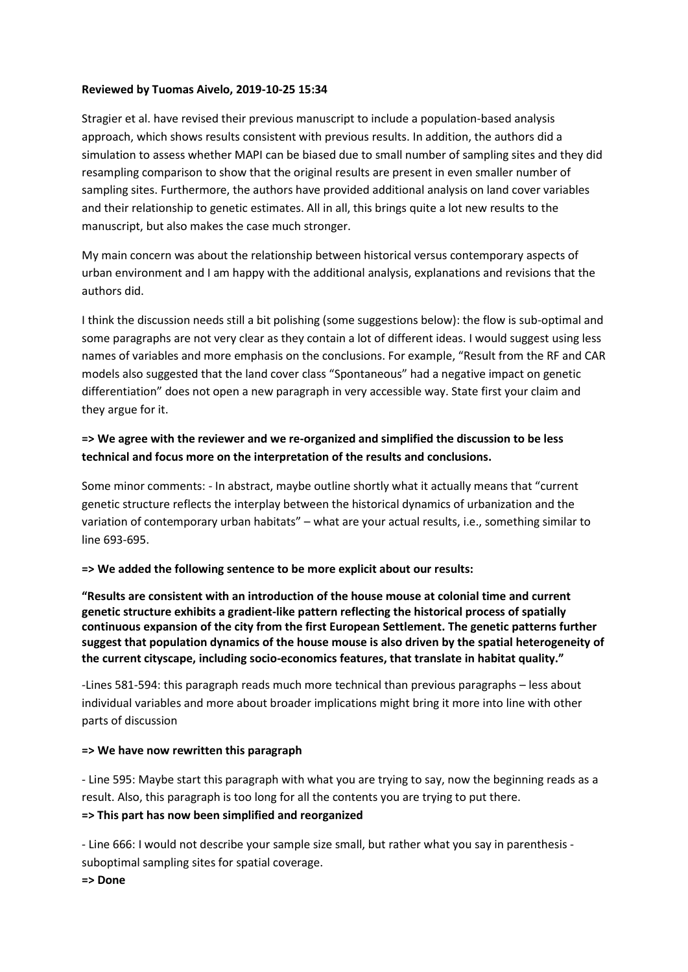# **Reviewed by Tuomas Aivelo, 2019-10-25 15:34**

Stragier et al. have revised their previous manuscript to include a population-based analysis approach, which shows results consistent with previous results. In addition, the authors did a simulation to assess whether MAPI can be biased due to small number of sampling sites and they did resampling comparison to show that the original results are present in even smaller number of sampling sites. Furthermore, the authors have provided additional analysis on land cover variables and their relationship to genetic estimates. All in all, this brings quite a lot new results to the manuscript, but also makes the case much stronger.

My main concern was about the relationship between historical versus contemporary aspects of urban environment and I am happy with the additional analysis, explanations and revisions that the authors did.

I think the discussion needs still a bit polishing (some suggestions below): the flow is sub-optimal and some paragraphs are not very clear as they contain a lot of different ideas. I would suggest using less names of variables and more emphasis on the conclusions. For example, "Result from the RF and CAR models also suggested that the land cover class "Spontaneous" had a negative impact on genetic differentiation" does not open a new paragraph in very accessible way. State first your claim and they argue for it.

# **=> We agree with the reviewer and we re-organized and simplified the discussion to be less technical and focus more on the interpretation of the results and conclusions.**

Some minor comments: - In abstract, maybe outline shortly what it actually means that "current genetic structure reflects the interplay between the historical dynamics of urbanization and the variation of contemporary urban habitats" – what are your actual results, i.e., something similar to line 693-695.

# **=> We added the following sentence to be more explicit about our results:**

**"Results are consistent with an introduction of the house mouse at colonial time and current genetic structure exhibits a gradient-like pattern reflecting the historical process of spatially continuous expansion of the city from the first European Settlement. The genetic patterns further suggest that population dynamics of the house mouse is also driven by the spatial heterogeneity of the current cityscape, including socio-economics features, that translate in habitat quality."**

-Lines 581-594: this paragraph reads much more technical than previous paragraphs – less about individual variables and more about broader implications might bring it more into line with other parts of discussion

# **=> We have now rewritten this paragraph**

- Line 595: Maybe start this paragraph with what you are trying to say, now the beginning reads as a result. Also, this paragraph is too long for all the contents you are trying to put there. **=> This part has now been simplified and reorganized** 

- Line 666: I would not describe your sample size small, but rather what you say in parenthesis suboptimal sampling sites for spatial coverage.

**=> Done**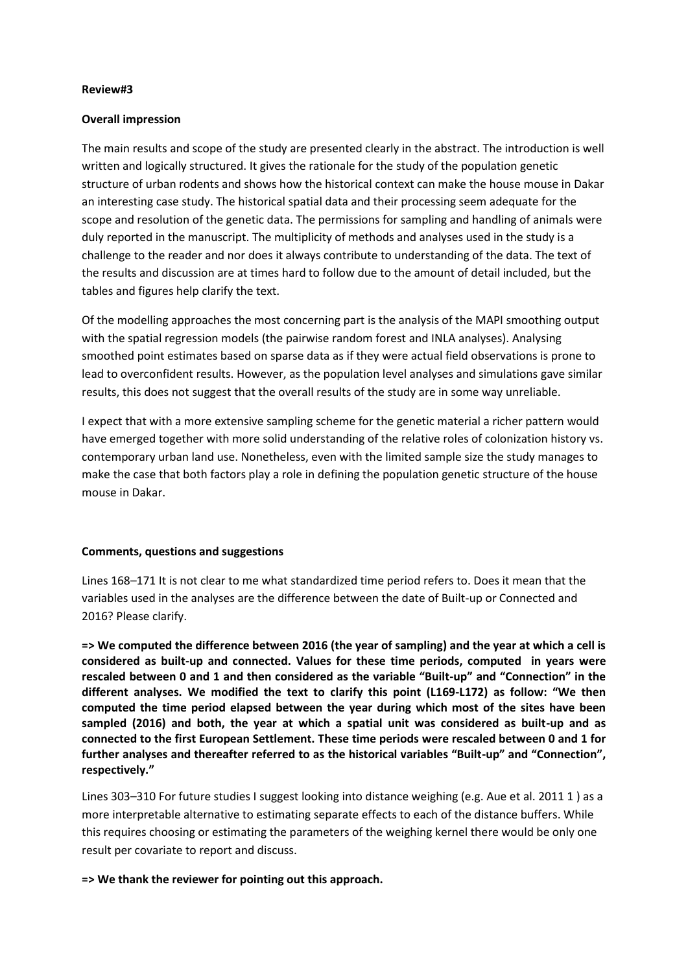### **Review#3**

#### **Overall impression**

The main results and scope of the study are presented clearly in the abstract. The introduction is well written and logically structured. It gives the rationale for the study of the population genetic structure of urban rodents and shows how the historical context can make the house mouse in Dakar an interesting case study. The historical spatial data and their processing seem adequate for the scope and resolution of the genetic data. The permissions for sampling and handling of animals were duly reported in the manuscript. The multiplicity of methods and analyses used in the study is a challenge to the reader and nor does it always contribute to understanding of the data. The text of the results and discussion are at times hard to follow due to the amount of detail included, but the tables and figures help clarify the text.

Of the modelling approaches the most concerning part is the analysis of the MAPI smoothing output with the spatial regression models (the pairwise random forest and INLA analyses). Analysing smoothed point estimates based on sparse data as if they were actual field observations is prone to lead to overconfident results. However, as the population level analyses and simulations gave similar results, this does not suggest that the overall results of the study are in some way unreliable.

I expect that with a more extensive sampling scheme for the genetic material a richer pattern would have emerged together with more solid understanding of the relative roles of colonization history vs. contemporary urban land use. Nonetheless, even with the limited sample size the study manages to make the case that both factors play a role in defining the population genetic structure of the house mouse in Dakar.

#### **Comments, questions and suggestions**

Lines 168–171 It is not clear to me what standardized time period refers to. Does it mean that the variables used in the analyses are the difference between the date of Built-up or Connected and 2016? Please clarify.

**=> We computed the difference between 2016 (the year of sampling) and the year at which a cell is considered as built-up and connected. Values for these time periods, computed in years were rescaled between 0 and 1 and then considered as the variable "Built-up" and "Connection" in the different analyses. We modified the text to clarify this point (L169-L172) as follow: "We then computed the time period elapsed between the year during which most of the sites have been sampled (2016) and both, the year at which a spatial unit was considered as built-up and as connected to the first European Settlement. These time periods were rescaled between 0 and 1 for further analyses and thereafter referred to as the historical variables "Built-up" and "Connection", respectively."**

Lines 303–310 For future studies I suggest looking into distance weighing (e.g. Aue et al. 2011 1 ) as a more interpretable alternative to estimating separate effects to each of the distance buffers. While this requires choosing or estimating the parameters of the weighing kernel there would be only one result per covariate to report and discuss.

**=> We thank the reviewer for pointing out this approach.**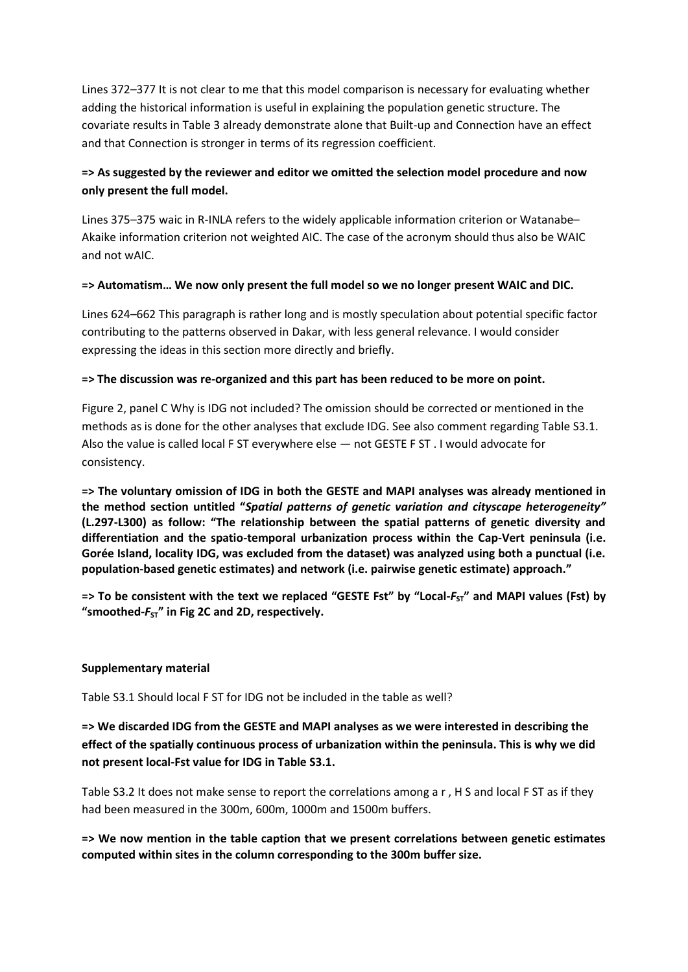Lines 372–377 It is not clear to me that this model comparison is necessary for evaluating whether adding the historical information is useful in explaining the population genetic structure. The covariate results in Table 3 already demonstrate alone that Built-up and Connection have an effect and that Connection is stronger in terms of its regression coefficient.

# **=> As suggested by the reviewer and editor we omitted the selection model procedure and now only present the full model.**

Lines 375–375 waic in R-INLA refers to the widely applicable information criterion or Watanabe– Akaike information criterion not weighted AIC. The case of the acronym should thus also be WAIC and not wAIC.

# **=> Automatism… We now only present the full model so we no longer present WAIC and DIC.**

Lines 624–662 This paragraph is rather long and is mostly speculation about potential specific factor contributing to the patterns observed in Dakar, with less general relevance. I would consider expressing the ideas in this section more directly and briefly.

# **=> The discussion was re-organized and this part has been reduced to be more on point.**

Figure 2, panel C Why is IDG not included? The omission should be corrected or mentioned in the methods as is done for the other analyses that exclude IDG. See also comment regarding Table S3.1. Also the value is called local F ST everywhere else — not GESTE F ST . I would advocate for consistency.

**=> The voluntary omission of IDG in both the GESTE and MAPI analyses was already mentioned in the method section untitled "***Spatial patterns of genetic variation and cityscape heterogeneity"*  **(L.297-L300) as follow: "The relationship between the spatial patterns of genetic diversity and differentiation and the spatio-temporal urbanization process within the Cap-Vert peninsula (i.e. Gorée Island, locality IDG, was excluded from the dataset) was analyzed using both a punctual (i.e. population-based genetic estimates) and network (i.e. pairwise genetic estimate) approach."** 

 $\Rightarrow$  To be consistent with the text we replaced "GESTE Fst" by "Local-*F*<sub>ST</sub>" and MAPI values (Fst) by **"smoothed-***F***ST" in Fig 2C and 2D, respectively.**

# **Supplementary material**

Table S3.1 Should local F ST for IDG not be included in the table as well?

**=> We discarded IDG from the GESTE and MAPI analyses as we were interested in describing the effect of the spatially continuous process of urbanization within the peninsula. This is why we did not present local-Fst value for IDG in Table S3.1.** 

Table S3.2 It does not make sense to report the correlations among a r , H S and local F ST as if they had been measured in the 300m, 600m, 1000m and 1500m buffers.

**=> We now mention in the table caption that we present correlations between genetic estimates computed within sites in the column corresponding to the 300m buffer size.**